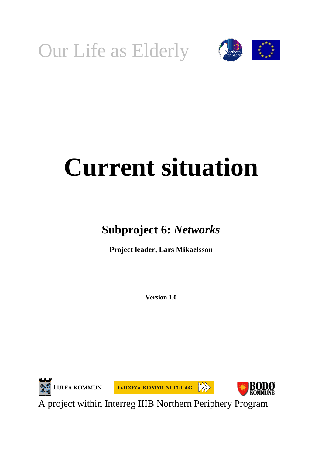



# **Current situation**

## **Subproject 6:** *Networks*

**Project leader, Lars Mikaelsson** 

**Version 1.0** 



A project within Interreg IIIB Northern Periphery Program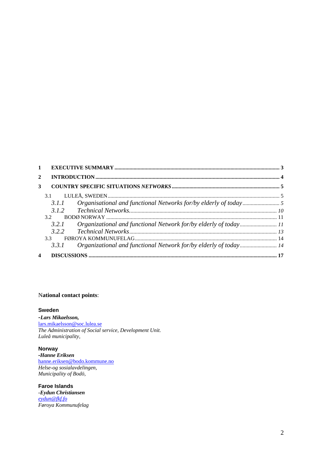|                                        | 3.1             |  |
|----------------------------------------|-----------------|--|
|                                        | 3.1.1           |  |
|                                        | 3.1.2           |  |
|                                        | 3.2             |  |
|                                        | 321             |  |
| $\mathbf{1}$<br>$\mathbf{2}$<br>3<br>4 |                 |  |
|                                        | 33 <sup>1</sup> |  |
|                                        | 3.3.1           |  |
|                                        |                 |  |

#### N**ational contact points**:

#### **Sweden**

*-Lars Mikaelsson,*  [lars.mikaelsson@soc.lulea.se](mailto:lars.mikaelsson@soc.lulea.se) *The Administration of Social service, Development Unit. Luleå municipality,*

**Norway** *-Hanne Eriksen* [hanne.eriksen@bodo.kommune.no](mailto:hanne.eriksen@bodo.kommune.no) *Helse-og sosialavdelingen, Municipality of Bodö,* 

**Faroe Islands** *-Eydun Christiansen eydun@fkf.fo Føroya Kommunufelag*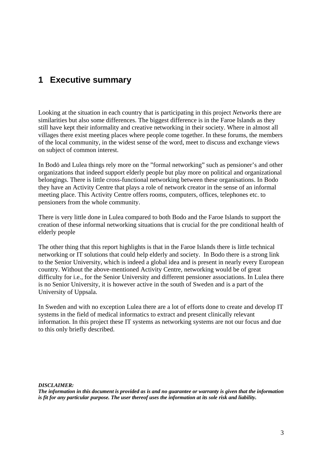## <span id="page-2-0"></span>**1 Executive summary**

Looking at the situation in each country that is participating in this project *Networks* there are similarities but also some differences. The biggest difference is in the Faroe Islands as they still have kept their informality and creative networking in their society. Where in almost all villages there exist meeting places where people come together. In these forums, the members of the local community, in the widest sense of the word, meet to discuss and exchange views on subject of common interest.

In Bodö and Lulea things rely more on the "formal networking" such as pensioner's and other organizations that indeed support elderly people but play more on political and organizational belongings. There is little cross-functional networking between these organisations. In Bodo they have an Activity Centre that plays a role of network creator in the sense of an informal meeting place. This Activity Centre offers rooms, computers, offices, telephones etc. to pensioners from the whole community.

There is very little done in Lulea compared to both Bodo and the Faroe Islands to support the creation of these informal networking situations that is crucial for the pre conditional health of elderly people

The other thing that this report highlights is that in the Faroe Islands there is little technical networking or IT solutions that could help elderly and society. In Bodo there is a strong link to the Senior University, which is indeed a global idea and is present in nearly every European country. Without the above-mentioned Activity Centre, networking would be of great difficulty for i.e., for the Senior University and different pensioner associations. In Lulea there is no Senior University, it is however active in the south of Sweden and is a part of the University of Uppsala.

In Sweden and with no exception Lulea there are a lot of efforts done to create and develop IT systems in the field of medical informatics to extract and present clinically relevant information. In this project these IT systems as networking systems are not our focus and due to this only briefly described.

*DISCLAIMER:* 

*The information in this document is provided as is and no guarantee or warranty is given that the information is fit for any particular purpose. The user thereof uses the information at its sole risk and liability.*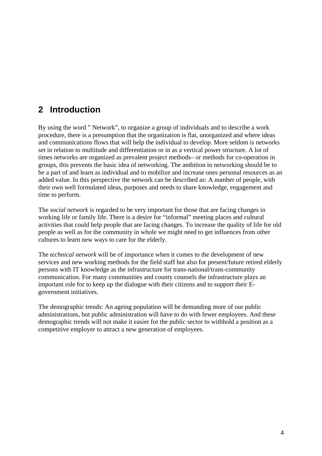## <span id="page-3-0"></span>**2 Introduction**

By using the word " Network", to organize a group of individuals and to describe a work procedure, there is a presumption that the organization is flat, unorganized and where ideas and communications flows that will help the individual to develop. More seldom is networks set in relation to multitude and differentiation or in as a vertical power structure. A lot of times networks are organized as prevalent project methods– or methods for co-operation in groups, this prevents the basic idea of networking. The ambition in networking should be to be a part of and learn as individual and to mobilize and increase ones personal resources as an added value. In this perspective the network can be described as: A number of people, with their own well formulated ideas, purposes and needs to share knowledge, engagement and time to perform.

The *social network* is regarded to be very important for those that are facing changes in working life or family life. There is a desire for "informal" meeting places and cultural activities that could help people that are facing changes. To increase the quality of life for old people as well as for the community in whole we might need to get influences from other cultures to learn new ways to care for the elderly.

The *technical network* will be of importance when it comes to the development of new services and new working methods for the field staff but also for present/future retired elderly persons with IT knowledge as the infrastructure for trans-national/trans-community communication. For many communities and county counsels the infrastructure plays an important role for to keep up the dialogue with their citizens and to support their Egovernment initiatives.

The demographic trends: An ageing population will be demanding more of our public administrations, but public administration will have to do with fewer employees. And these demographic trends will not make it easier for the public sector to withhold a position as a competitive employer to attract a new generation of employees.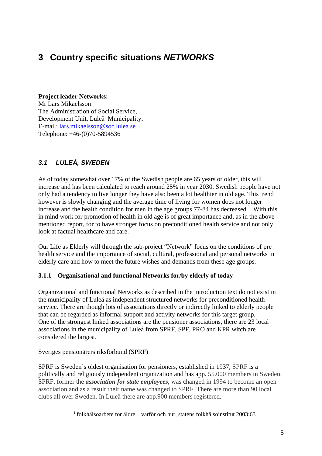## <span id="page-4-0"></span>**3 Country specific situations** *NETWORKS*

#### **Project leader Networks:**

Mr Lars Mikaelsson The Administration of Social Service, Development Unit, Luleå Municipality**.**  E-mail: lars.mikaelsson@soc.lulea.se Telephone: +46-(0)70-5894536

## *3.1 LULEÅ, SWEDEN*

As of today somewhat over 17% of the Swedish people are 65 years or older, this will increase and has been calculated to reach around 25% in year 2030. Swedish people have not only had a tendency to live longer they have also been a lot healthier in old age. This trend however is slowly changing and the average time of living for women does not longer increase and the health condition for men in the age groups  $77-84$  has decreased.<sup>1</sup> With this in mind work for promotion of health in old age is of great importance and, as in the abovementioned report, for to have stronger focus on preconditioned health service and not only look at factual healthcare and care.

Our Life as Elderly will through the sub-project "Network" focus on the conditions of pre health service and the importance of social, cultural, professional and personal networks in elderly care and how to meet the future wishes and demands from these age groups.

#### **3.1.1 Organisational and functional Networks for/by elderly of today**

Organizational and functional Networks as described in the introduction text do not exist in the municipality of Luleå as independent structured networks for preconditioned health service. There are though lots of associations directly or indirectly linked to elderly people that can be regarded as informal support and activity networks for this target group. One of the strongest linked associations are the pensioner associations, there are 23 local associations in the municipality of Luleå from SPRF, SPF, PRO and KPR witch are considered the largest.

#### Sveriges pensionärers riksförbund (SPRF)

SPRF is Sweden's oldest organisation for pensioners, established in 1937, SPRF is a politically and religiously independent organization and has app. 55.000 members in Sweden. SPRF, former the *association for state employees,* was changed in 1994 to become an open association and as a result their name was changed to SPRF. There are more than 90 local clubs all over Sweden. In Luleå there are app.900 members registered.

<span id="page-4-1"></span> <sup>1</sup> folkhälsoarbete for äldre – varför och hur, statens folkhälsoinstitut 2003:63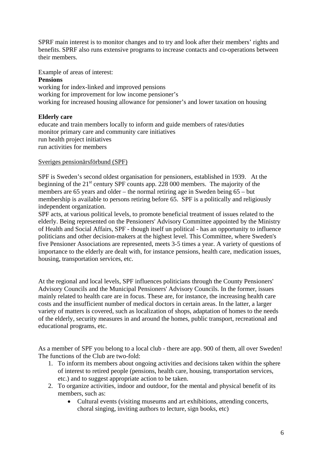SPRF main interest is to monitor changes and to try and look after their members' rights and benefits. SPRF also runs extensive programs to increase contacts and co-operations between their members.

Example of areas of interest:

#### **Pensions**

working for index-linked and improved pensions working for improvement for low income pensioner's working for increased housing allowance for pensioner's and lower taxation on housing

#### **Elderly care**

educate and train members locally to inform and guide members of rates/duties monitor primary care and community care initiatives run health project initiatives run activities for members

#### Sveriges pensionärsförbund (SPF)

SPF is Sweden's second oldest organisation for pensioners, established in 1939. At the beginning of the  $21<sup>st</sup>$  century SPF counts app. 228 000 members. The majority of the members are 65 years and older – the normal retiring age in Sweden being 65 – but membership is available to persons retiring before 65. SPF is a politically and religiously independent organization.

SPF acts, at various political levels, to promote beneficial treatment of issues related to the elderly. Being represented on the Pensioners' Advisory Committee appointed by the Ministry of Health and Social Affairs, SPF - though itself un political - has an opportunity to influence politicians and other decision-makers at the highest level. This Committee, where Sweden's five Pensioner Associations are represented, meets 3-5 times a year. A variety of questions of importance to the elderly are dealt with, for instance pensions, health care, medication issues, housing, transportation services, etc.

At the regional and local levels, SPF influences politicians through the County Pensioners' Advisory Councils and the Municipal Pensioners' Advisory Councils. In the former, issues mainly related to health care are in focus. These are, for instance, the increasing health care costs and the insufficient number of medical doctors in certain areas. In the latter, a larger variety of matters is covered, such as localization of shops, adaptation of homes to the needs of the elderly, security measures in and around the homes, public transport, recreational and educational programs, etc.

As a member of SPF you belong to a local club - there are app. 900 of them, all over Sweden! The functions of the Club are two-fold:

- 1. To inform its members about ongoing activities and decisions taken within the sphere of interest to retired people (pensions, health care, housing, transportation services, etc.) and to suggest appropriate action to be taken.
- 2. To organize activities, indoor and outdoor, for the mental and physical benefit of its members, such as:
	- Cultural events (visiting museums and art exhibitions, attending concerts, choral singing, inviting authors to lecture, sign books, etc)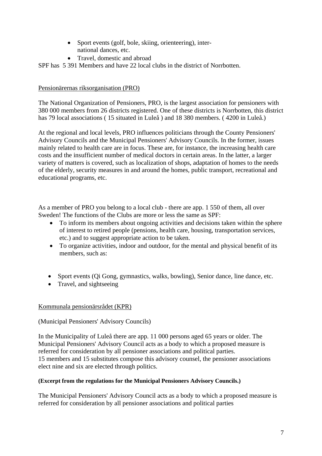- Sport events (golf, bole, skiing, orienteering), international dances, etc.
- Travel, domestic and abroad

SPF has 5 391 Members and have 22 local clubs in the district of Norrbotten.

#### Pensionärernas riksorganisation (PRO)

The National Organization of Pensioners, PRO, is the largest association for pensioners with 380 000 members from 26 districts registered. One of these districts is Norrbotten, this district has 79 local associations ( 15 situated in Luleå ) and 18 380 members. ( 4200 in Luleå.)

At the regional and local levels, PRO influences politicians through the County Pensioners' Advisory Councils and the Municipal Pensioners' Advisory Councils. In the former, issues mainly related to health care are in focus. These are, for instance, the increasing health care costs and the insufficient number of medical doctors in certain areas. In the latter, a larger variety of matters is covered, such as localization of shops, adaptation of homes to the needs of the elderly, security measures in and around the homes, public transport, recreational and educational programs, etc.

As a member of PRO you belong to a local club - there are app. 1 550 of them, all over Sweden! The functions of the Clubs are more or less the same as SPF:

- To inform its members about ongoing activities and decisions taken within the sphere of interest to retired people (pensions, health care, housing, transportation services, etc.) and to suggest appropriate action to be taken.
- To organize activities, indoor and outdoor, for the mental and physical benefit of its members, such as:
- Sport events (Qi Gong, gymnastics, walks, bowling), Senior dance, line dance, etc.
- Travel, and sightseeing

#### Kommunala pensionärsrådet (KPR)

#### (Municipal Pensioners' Advisory Councils)

In the Municipality of Luleå there are app. 11 000 persons aged 65 years or older. The Municipal Pensioners' Advisory Council acts as a body to which a proposed measure is referred for consideration by all pensioner associations and political parties. 15 members and 15 substitutes compose this advisory counsel, the pensioner associations elect nine and six are elected through politics.

#### **(Excerpt from the regulations for the Municipal Pensioners Advisory Councils.)**

The Municipal Pensioners' Advisory Council acts as a body to which a proposed measure is referred for consideration by all pensioner associations and political parties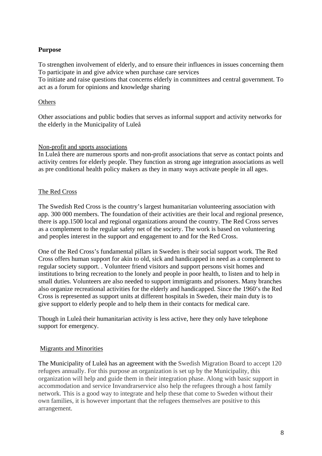#### **Purpose**

To strengthen involvement of elderly, and to ensure their influences in issues concerning them To participate in and give advice when purchase care services

To initiate and raise questions that concerns elderly in committees and central government. To act as a forum for opinions and knowledge sharing

#### **Others**

Other associations and public bodies that serves as informal support and activity networks for the elderly in the Municipality of Luleå

#### Non-profit and sports associations

In Luleå there are numerous sports and non-profit associations that serve as contact points and activity centres for elderly people. They function as strong age integration associations as well as pre conditional health policy makers as they in many ways activate people in all ages.

#### The Red Cross

The Swedish Red Cross is the country's largest humanitarian volunteering association with app. 300 000 members. The foundation of their activities are their local and regional presence, there is app.1500 local and regional organizations around the country. The Red Cross serves as a complement to the regular safety net of the society. The work is based on volunteering and peoples interest in the support and engagement to and for the Red Cross.

One of the Red Cross's fundamental pillars in Sweden is their social support work. The Red Cross offers human support for akin to old, sick and handicapped in need as a complement to regular society support. . Volunteer friend visitors and support persons visit homes and institutions to bring recreation to the lonely and people in poor health, to listen and to help in small duties. Volunteers are also needed to support immigrants and prisoners. Many branches also organize recreational activities for the elderly and handicapped. Since the 1960's the Red Cross is represented as support units at different hospitals in Sweden, their main duty is to give support to elderly people and to help them in their contacts for medical care.

Though in Luleå their humanitarian activity is less active, here they only have telephone support for emergency.

#### Migrants and Minorities

The Municipality of Luleå has an agreement with the Swedish Migration Board to accept 120 refugees annually. For this purpose an organization is set up by the Municipality, this organization will help and guide them in their integration phase. Along with basic support in accommodation and service Invandrarservice also help the refugees through a host family network. This is a good way to integrate and help these that come to Sweden without their own families, it is however important that the refugees themselves are positive to this arrangement.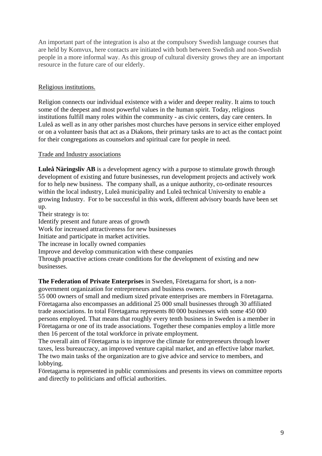An important part of the integration is also at the compulsory Swedish language courses that are held by Komvux, here contacts are initiated with both between Swedish and non-Swedish people in a more informal way. As this group of cultural diversity grows they are an important resource in the future care of our elderly.

#### Religious institutions.

Religion connects our individual existence with a wider and deeper reality. It aims to touch some of the deepest and most powerful values in the human spirit. Today, religious institutions fulfill many roles within the community - as civic centers, day care centers. In Luleå as well as in any other parishes most churches have persons in service either employed or on a volunteer basis that act as a Diakons, their primary tasks are to act as the contact point for their congregations as counselors and spiritual care for people in need.

#### Trade and Industry associations

**Luleå Näringsliv AB** is a development agency with a purpose to stimulate growth through development of existing and future businesses, run development projects and actively work for to help new business. The company shall, as a unique authority, co-ordinate resources within the local industry, Luleå municipality and Luleå technical University to enable a growing Industry. For to be successful in this work, different advisory boards have been set up.

Their strategy is to:

Identify present and future areas of growth

Work for increased attractiveness for new businesses

Initiate and participate in market activities.

The increase in locally owned companies

Improve and develop communication with these companies

Through proactive actions create conditions for the development of existing and new businesses.

**The Federation of Private Enterprises** in Sweden, Företagarna for short, is a nongovernment organization for entrepreneurs and business owners.

55 000 owners of small and medium sized private enterprises are members in Företagarna. Företagarna also encompasses an additional 25 000 small businesses through 30 affiliated trade associations. In total Företagarna represents 80 000 businesses with some 450 000 persons employed. That means that roughly every tenth business in Sweden is a member in Företagarna or one of its trade associations. Together these companies employ a little more then 16 percent of the total workforce in private employment.

The overall aim of Företagarna is to improve the climate for entrepreneurs through lower taxes, less bureaucracy, an improved venture capital market, and an effective labor market. The two main tasks of the organization are to give advice and service to members, and lobbying.

Företagarna is represented in public commissions and presents its views on committee reports and directly to politicians and official authorities.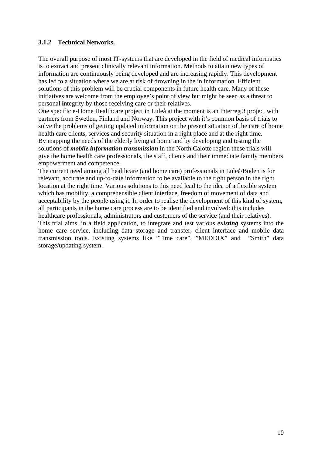#### <span id="page-9-0"></span>**3.1.2 Technical Networks.**

The overall purpose of most IT-systems that are developed in the field of medical informatics is to extract and present clinically relevant information. Methods to attain new types of information are continuously being developed and are increasing rapidly. This development has led to a situation where we are at risk of drowning in the in information. Efficient solutions of this problem will be crucial components in future health care. Many of these initiatives are welcome from the employee's point of view but might be seen as a threat to personal **i**ntegrity by those receiving care or their relatives.

One specific e-Home Healthcare project in Luleå at the moment is an Interreg 3 project with partners from Sweden, Finland and Norway. This project with it's common basis of trials to solve the problems of getting updated information on the present situation of the care of home health care clients, services and security situation in a right place and at the right time. By mapping the needs of the elderly living at home and by developing and testing the solutions of *mobile information transmission* in the North Calotte region these trials will give the home health care professionals, the staff, clients and their immediate family members empowerment and competence.

The current need among all healthcare (and home care) professionals in Luleå/Boden is for relevant, accurate and up-to-date information to be available to the right person in the right location at the right time. Various solutions to this need lead to the idea of a flexible system which has mobility, a comprehensible client interface, freedom of movement of data and acceptability by the people using it. In order to realise the development of this kind of system, all participants in the home care process are to be identified and involved: this includes healthcare professionals, administrators and customers of the service (and their relatives). This trial aims, in a field application, to integrate and test various *existing* systems into the home care service, including data storage and transfer, client interface and mobile data transmission tools. Existing systems like "Time care", "MEDDIX" and "Smith" data storage/updating system.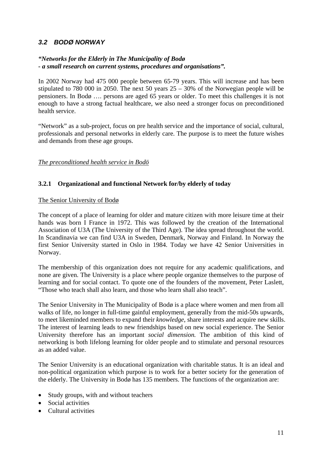#### <span id="page-10-0"></span>*3.2 BODØ NORWAY*

#### *"Networks for the Elderly in The Municipality of Bodø - a small research on current systems, procedures and organisations".*

In 2002 Norway had 475 000 people between 65-79 years. This will increase and has been stipulated to 780 000 in 2050. The next 50 years  $25 - 30\%$  of the Norwegian people will be pensioners. In Bodø …. persons are aged 65 years or older. To meet this challenges it is not enough to have a strong factual healthcare, we also need a stronger focus on preconditioned health service.

"Network" as a sub-project, focus on pre health service and the importance of social, cultural, professionals and personal networks in elderly care. The purpose is to meet the future wishes and demands from these age groups.

#### *The preconditioned health service in Bodö*

#### **3.2.1 Organizational and functional Network for/by elderly of today**

#### The Senior University of Bodø

The concept of a place of learning for older and mature citizen with more leisure time at their hands was born I France in 1972. This was followed by the creation of the International Association of U3A (The University of the Third Age). The idea spread throughout the world. In Scandinavia we can find U3A in Sweden, Denmark, Norway and Finland. In Norway the first Senior University started in Oslo in 1984. Today we have 42 Senior Universities in Norway.

The membership of this organization does not require for any academic qualifications, and none are given. The University is a place where people organize themselves to the purpose of learning and for social contact. To quote one of the founders of the movement, Peter Laslett, "Those who teach shall also learn, and those who learn shall also teach".

The Senior University in The Municipality of Bodø is a place where women and men from all walks of life, no longer in full-time gainful employment, generally from the mid-50s upwards, to meet likeminded members to expand their *knowledge*, share interests and acquire new skills. The interest of learning leads to new friendships based on new social experience. The Senior University therefore has an important *social dimension.* The ambition of this kind of networking is both lifelong learning for older people and to stimulate and personal resources as an added value.

The Senior University is an educational organization with charitable status. It is an ideal and non-political organization which purpose is to work for a better society for the generation of the elderly. The University in Bodø has 135 members. The functions of the organization are:

- Study groups, with and without teachers
- Social activities
- Cultural activities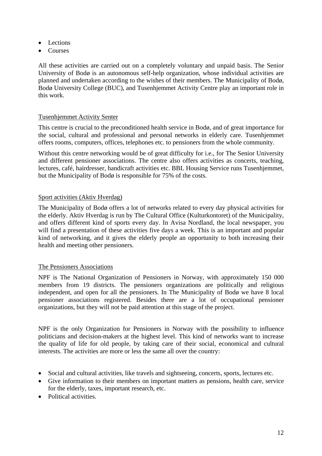- Lections
- Courses

All these activities are carried out on a completely voluntary and unpaid basis. The Senior University of Bodø is an autonomous self-help organization, whose individual activities are planned and undertaken according to the wishes of their members. The Municipality of Bodø, Bodø University College (BUC), and Tusenhjemmet Activity Centre play an important role in this work.

#### Tusenhjemmet Activity Senter

This centre is crucial to the preconditioned health service in Bodø, and of great importance for the social, cultural and professional and personal networks in elderly care. Tusenhjemmet offers rooms, computers, offices, telephones etc. to pensioners from the whole community.

Without this centre networking would be of great difficulty for i.e., for The Senior University and different pensioner associations. The centre also offers activities as concerts, teaching, lectures, café, hairdresser, handicraft activities etc. BBL Housing Service runs Tusenhjemmet, but the Municipality of Bodø is responsible for 75% of the costs.

#### Sport activities (Aktiv Hverdag)

The Municipality of Bodø offers a lot of networks related to every day physical activities for the elderly. Aktiv Hverdag is run by The Cultural Office (Kulturkontoret) of the Municipality, and offers different kind of sports every day. In Avisa Nordland, the local newspaper, you will find a presentation of these activities five days a week. This is an important and popular kind of networking, and it gives the elderly people an opportunity to both increasing their health and meeting other pensioners.

#### The Pensioners Associations

NPF is The National Organization of Pensioners in Norway, with approximately 150 000 members from 19 districts. The pensioners organizations are politically and religious independent, and open for all the pensioners. In The Municipality of Bodø we have 8 local pensioner associations registered. Besides there are a lot of occupational pensioner organizations, but they will not be paid attention at this stage of the project.

NPF is the only Organization for Pensioners in Norway with the possibility to influence politicians and decision-makers at the highest level. This kind of networks want to increase the quality of life for old people, by taking care of their social, economical and cultural interests. The activities are more or less the same all over the country:

- Social and cultural activities, like travels and sightseeing, concerts, sports, lectures etc.
- Give information to their members on important matters as pensions, health care, service for the elderly, taxes, important research, etc.
- Political activities.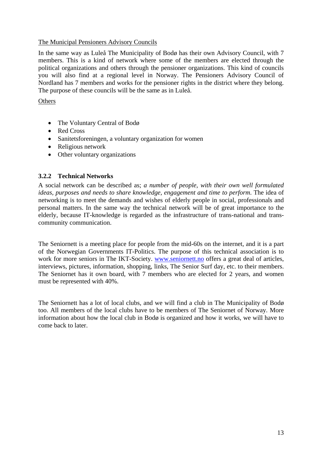#### <span id="page-12-0"></span>The Municipal Pensioners Advisory Councils

In the same way as Luleå The Municipality of Bodø has their own Advisory Council, with 7 members. This is a kind of network where some of the members are elected through the political organizations and others through the pensioner organizations. This kind of councils you will also find at a regional level in Norway. The Pensioners Advisory Council of Nordland has 7 members and works for the pensioner rights in the district where they belong. The purpose of these councils will be the same as in Luleå.

#### **Others**

- The Voluntary Central of Bodø
- Red Cross
- Sanitetsforeningen, a voluntary organization for women
- Religious network
- Other voluntary organizations

#### **3.2.2 Technical Networks**

A social network can be described as; *a number of people, with their own well formulated ideas, purposes and needs to share knowledge, engagement and time to perform*. The idea of networking is to meet the demands and wishes of elderly people in social, professionals and personal matters. In the same way the technical network will be of great importance to the elderly, because IT-knowledge is regarded as the infrastructure of trans-national and transcommunity communication.

The Seniornett is a meeting place for people from the mid-60s on the internet, and it is a part of the Norwegian Governments IT-Politics. The purpose of this technical association is to work for more seniors in The IKT-Society. www.seniornett.no offers a great deal of articles, interviews, pictures, information, shopping, links, The Senior Surf day, etc. to their members. The Seniornet has it own board, with 7 members who are elected for 2 years, and women must be represented with 40%.

The Seniornett has a lot of local clubs, and we will find a club in The Municipality of Bodø too. All members of the local clubs have to be members of The Seniornet of Norway. More information about how the local club in Bodø is organized and how it works, we will have to come back to later.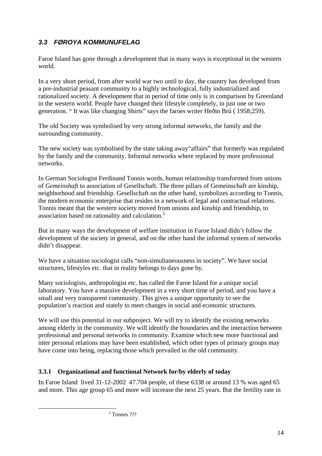### <span id="page-13-0"></span>*3.3 FØROYA KOMMUNUFELAG*

Faroe Island has gone through a development that in many ways is exceptional in the western world.

In a very short period, from after world war two until to day, the country has developed from a pre-industrial peasant community to a highly technological, fully industrialized and rationalized society. A development that in period of time only is in comparison by Greenland in the western world. People have changed their lifestyle completely, in just one or two generation. " It was like changing Shirts" says the faroes writer Heðin Brú ( 1958;259).

The old Society was symbolised by very strong informal networks, the family and the surrounding community.

The new society was symbolised by the state taking away"affairs" that formerly was regulated by the family and the community. Informal networks where replaced by more professional networks.

In German Sociologist Ferdinand Tonnis words, human relationship transformed from unions of *Gemeinshaft* to association of Gesellschaft*.* The three pillars of Gemeinschaft are kinship, neighborhood and friendship. Gesellschaft on the other hand, symbolizes according to Tonnis, the modern economic enterprise that resides in a network of legal and contractual relations. Tonnis meant that the western society moved from unions and kinship and friendship, to association based on rationality and calculation.[2](#page-13-1)

But in many ways the development of welfare institution in Faroe Island didn't follow the development of the society in general, and on the other hand the informal system of networks didn't disappear.

We have a situation sociologist calls "non-simultaneousness in society". We have social structures, lifestyles etc. that in reality belongs to days gone by.

Many sociologists, anthropologist etc. has called the Faroe Island for a unique social laboratory. You have a massive development in a very short time of period, and you have a small and very transparent community. This gives a unique opportunity to see the population's reaction and stately to meet changes in social and economic structures.

We will use this potential in our subproject. We will try to identify the existing networks among elderly in the community. We will identify the boundaries and the interaction between professional and personal networks in community. Examine which new more functional and inter personal relations may have been established, which other types of primary groups may have come into being, replacing those which prevailed in the old community.

#### **3.3.1 Organizational and functional Network for/by elderly of today**

<span id="page-13-1"></span>In Faroe Island lived 31-12-2002 47.704 people, of these 6338 or around 13 % was aged 65 and more. This age group 65 and more will increase the next 25 years. But the fertility rate in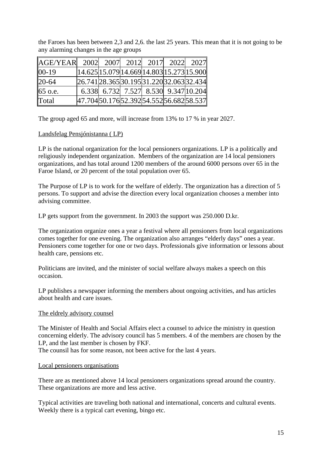the Faroes has been between 2,3 and 2,6. the last 25 years. This mean that it is not going to be any alarming changes in the age groups

| $AGE/YEAR$ 2002 2007 2012 2017 2022 2027 |                                                            |                                      |  |  |
|------------------------------------------|------------------------------------------------------------|--------------------------------------|--|--|
| $ 00-19$                                 | $ 14.625 15.079 14.669 14.803 15.273 15.900 $              |                                      |  |  |
| $ 20-64 $                                | $26.741 \, 28.365 \, 30.195 \, 31.220 \, 32.063 \, 32.434$ |                                      |  |  |
| 65 o.e.                                  |                                                            | 6.338 6.732 7.527 8.530 9.347 10.204 |  |  |
| Total                                    | 47.70450.17652.39254.55256.68258.537                       |                                      |  |  |

The group aged 65 and more, will increase from 13% to 17 % in year 2027.

#### Landsfelag Pensjónistanna ( LP)

LP is the national organization for the local pensioners organizations. LP is a politically and religiously independent organization. Members of the organization are 14 local pensioners organizations, and has total around 1200 members of the around 6000 persons over 65 in the Faroe Island, or 20 percent of the total population over 65.

The Purpose of LP is to work for the welfare of elderly. The organization has a direction of 5 persons. To support and advise the direction every local organization chooses a member into advising committee.

LP gets support from the government. In 2003 the support was 250.000 D.kr.

The organization organize ones a year a festival where all pensioners from local organizations comes together for one evening. The organization also arranges "elderly days" ones a year. Pensioners come together for one or two days. Professionals give information or lessons about health care, pensions etc.

Politicians are invited, and the minister of social welfare always makes a speech on this occasion.

LP publishes a newspaper informing the members about ongoing activities, and has articles about health and care issues.

#### The eldrely advisory counsel

The Minister of Health and Social Affairs elect a counsel to advice the ministry in question concerning elderly. The advisory council has 5 members. 4 of the members are chosen by the LP, and the last member is chosen by FKF.

The counsil has for some reason, not been active for the last 4 years.

#### Local pensioners organisations

There are as mentioned above 14 local pensioners organizations spread around the country. These organizations are more and less active.

Typical activities are traveling both national and international, concerts and cultural events. Weekly there is a typical cart evening, bingo etc.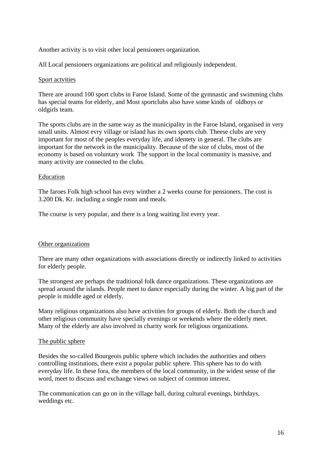Another activity is to visit other local pensioners organization.

All Local pensioners organizations are political and religiously independent.

#### Sport actvities

There are around 100 sport clubs in Faroe Island. Some of the gymnastic and swimming clubs has special teams for elderly, and Most sportclubs also have some kinds of oldboys or oldgirls team.

The sports clubs are in the same way as the municipality in the Faroe Island, organised in very small units. Almost evry village or island has its own sports club. Theese clubs are very important for most of the peoples everyday life, and identety in general. The clubs are important for the network in the municipality. Because of the size of clubs, most of the economy is based on voluntary work The support in the local community is massive, and many activity are connected to the clubs.

#### Education

The faroes Folk high school has evry winther a 2 weeks course for pensioners. The cost is 3.200 Dk. Kr. including a single room and meals.

The course is very popular, and there is a long waiting list every year.

#### Other organizations

There are many other organizations with associations directly or indirectly linked to activities for elderly people.

The strongest are perhaps the traditional folk dance organizations. These organizations are spread around the islands. People meet to dance especially during the winter. A big part of the people is middle aged or elderly.

Many religious organizations also have activities for groups of elderly. Both the church and other religious community have specially evenings or weekends where the elderly meet. Many of the elderly are also involved in charity work for religious organizations.

#### The public sphere

Besides the so-called Bourgeois public sphere which includes the authorities and others controlling institutions, there exist a popular public sphere. This sphere has to do with everyday life. In these fora, the members of the local community, in the widest sense of the word, meet to discuss and exchange views on subject of common interest.

The communication can go on in the village hall, during cultural evenings, birthdays, weddings etc.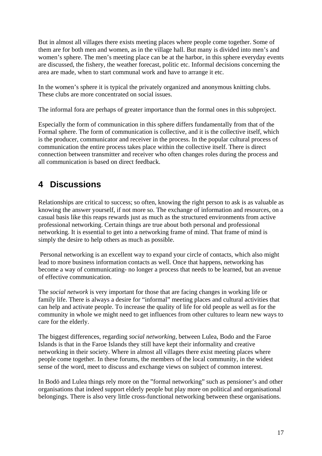<span id="page-16-0"></span>But in almost all villages there exists meeting places where people come together. Some of them are for both men and women, as in the village hall. But many is divided into men's and women's sphere. The men's meeting place can be at the harbor, in this sphere everyday events are discussed, the fishery, the weather forecast, politic etc. Informal decisions concerning the area are made, when to start communal work and have to arrange it etc.

In the women's sphere it is typical the privately organized and anonymous knitting clubs. These clubs are more concentrated on social issues.

The informal fora are perhaps of greater importance than the formal ones in this subproject.

Especially the form of communication in this sphere differs fundamentally from that of the Formal sphere. The form of communication is collective, and it is the collective itself, which is the producer, communicator and receiver in the process. In the popular cultural process of communication the entire process takes place within the collective itself. There is direct connection between transmitter and receiver who often changes roles during the process and all communication is based on direct feedback.

## **4 Discussions**

Relationships are critical to success; so often, knowing the right person to ask is as valuable as knowing the answer yourself, if not more so. The exchange of information and resources, on a casual basis like this reaps rewards just as much as the structured environments from active professional networking. Certain things are true about both personal and professional networking. It is essential to get into a networking frame of mind. That frame of mind is simply the desire to help others as much as possible.

 Personal networking is an excellent way to expand your circle of contacts, which also might lead to more business information contacts as well. Once that happens, networking has become a way of communicating- no longer a process that needs to be learned, but an avenue of effective communication.

The *social network* is very important for those that are facing changes in working life or family life. There is always a desire for "informal" meeting places and cultural activities that can help and activate people. To increase the quality of life for old people as well as for the community in whole we might need to get influences from other cultures to learn new ways to care for the elderly.

The biggest differences, regarding *social networking,* between Lulea, Bodo and the Faroe Islands is that in the Faroe Islands they still have kept their informality and creative networking in their society. Where in almost all villages there exist meeting places where people come together. In these forums, the members of the local community, in the widest sense of the word, meet to discuss and exchange views on subject of common interest.

In Bodö and Lulea things rely more on the "formal networking" such as pensioner's and other organisations that indeed support elderly people but play more on political and organisational belongings. There is also very little cross-functional networking between these organisations.